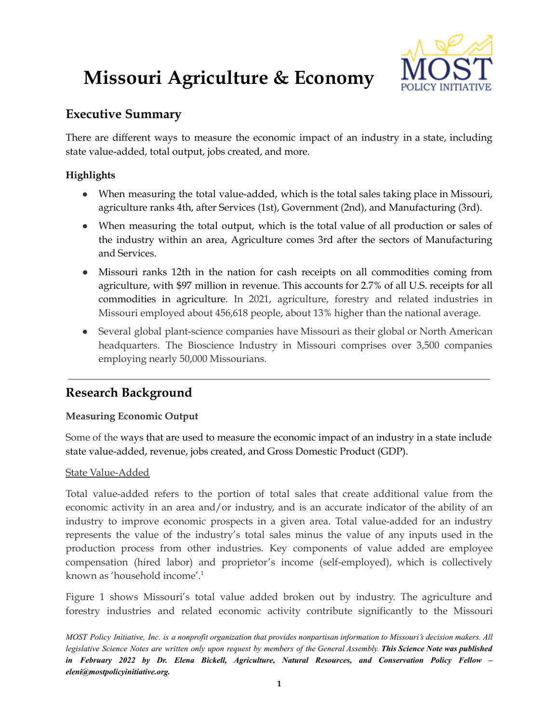# **Missouri Agriculture & Economy**



# **Executive Summary**

There are different ways to measure the economic impact of an industry in a state, including state value-added, total output, jobs created, and more.

## **Highlights**

- When measuring the total value-added, which is the total sales taking place in Missouri, agriculture ranks 4th, after Services (1st), Government (2nd), and Manufacturing (3rd).
- When measuring the total output, which is the total value of all production or sales of the industry within an area, Agriculture comes 3rd after the sectors of Manufacturing and Services.
- Missouri ranks 12th in the nation for cash receipts on all commodities coming from agriculture, with \$97 million in revenue. This accounts for 2.7% of all U.S. receipts for all commodities in agriculture. In 2021, agriculture, forestry and related industries in Missouri employed about 456,618 people, about 13% higher than the national average.
- Several global plant-science companies have Missouri as their global or North American headquarters. The Bioscience Industry in Missouri comprises over 3,500 companies employing nearly 50,000 Missourians.

# **Research Background**

## **Measuring Economic Output**

Some of the ways that are used to measure the economic impact of an industry in a state include state value-added, revenue, jobs created, and Gross Domestic Product (GDP).

#### State Value-Added

Total value-added refers to the portion of total sales that create additional value from the economic activity in an area and/or industry, and is an accurate indicator of the ability of an industry to improve economic prospects in a given area. Total value-added for an industry represents the value of the industry's total sales minus the value of any inputs used in the production process from other industries. Key components of value added are employee compensation (hired labor) and proprietor's income (self-employed), which is collectively known as 'household income'. 1

Figure 1 shows Missouri's total value added broken out by industry. The agriculture and forestry industries and related economic activity contribute significantly to the Missouri

MOST Policy Initiative, Inc. is a nonprofit organization that provides nonpartisan information to Missouri's decision makers. All legislative Science Notes are written only upon request by members of the General Assembly. This Science Note was published *in February 2022 by Dr. Elena Bickell, Agriculture, Natural Resources, and Conservation Policy Fellow – eleni@mostpolicyinitiative.org.*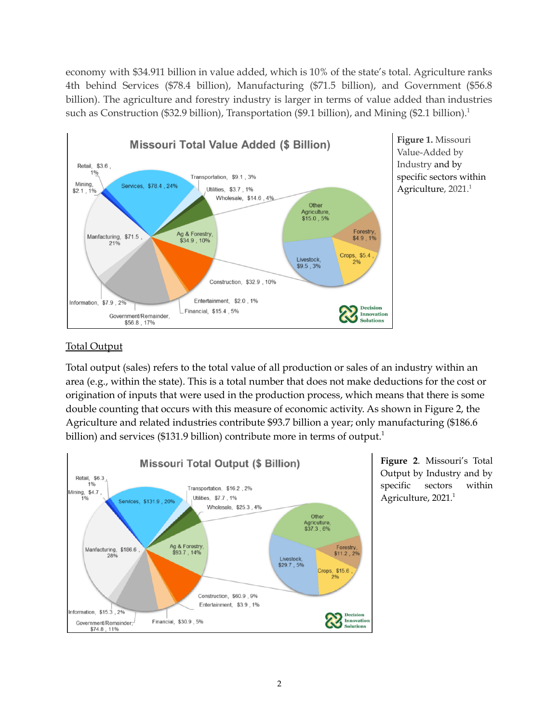economy with \$34.911 billion in value added, which is 10% of the state's total. Agriculture ranks 4th behind Services (\$78.4 billion), Manufacturing (\$71.5 billion), and Government (\$56.8 billion). The agriculture and forestry industry is larger in terms of value added than industries such as Construction (\$32.9 billion), Transportation (\$9.1 billion), and Mining (\$2.1 billion).<sup>1</sup>



**Figure 1.** Missouri Value-Added by Industry and by specific sectors within Agriculture, 2021.<sup>1</sup>

### Total Output

Total output (sales) refers to the total value of all production or sales of an industry within an area (e.g., within the state). This is a total number that does not make deductions for the cost or origination of inputs that were used in the production process, which means that there is some double counting that occurs with this measure of economic activity. As shown in Figure 2, the Agriculture and related industries contribute \$93.7 billion a year; only manufacturing (\$186.6 billion) and services (\$131.9 billion) contribute more in terms of output.<sup>1</sup>



**Figure 2**. Missouri's Total Output by Industry and by specific sectors within Agriculture, 2021.<sup>1</sup>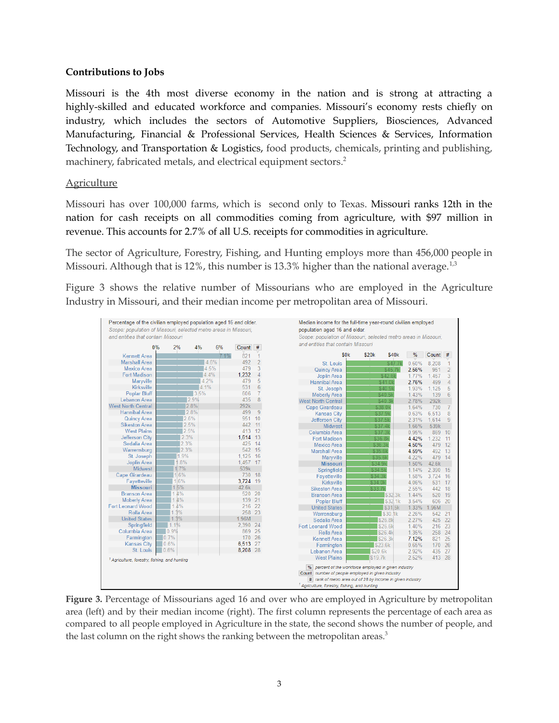#### **Contributions to Jobs**

Missouri is the 4th most diverse economy in the nation and is strong at attracting a highly-skilled and educated workforce and companies. Missouri's economy rests chiefly on industry, which includes the sectors of Automotive Suppliers, Biosciences, Advanced Manufacturing, Financial & Professional Services, Health Sciences & Services, Information Technology, and Transportation & Logistics, food products, chemicals, printing and publishing, machinery, fabricated metals, and electrical equipment sectors. 2

#### Agriculture

Missouri has over 100,000 farms, which is second only to Texas. Missouri ranks 12th in the nation for cash receipts on all commodities coming from agriculture, with \$97 million in revenue. This accounts for 2.7% of all U.S. receipts for commodities in agriculture.

The sector of Agriculture, Forestry, Fishing, and Hunting employs more than 456,000 people in Missouri. Although that is 12%, this number is 13.3% higher than the national average. $^{1,3}$ 

Figure 3 shows the relative number of Missourians who are employed in the Agriculture Industry in Missouri, and their median income per metropolitan area of Missouri.



**Figure 3.** Percentage of Missourians aged 16 and over who are employed in Agriculture by metropolitan area (left) and by their median income (right). The first column represents the percentage of each area as compared to all people employed in Agriculture in the state, the second shows the number of people, and the last column on the right shows the ranking between the metropolitan areas.<sup>3</sup>